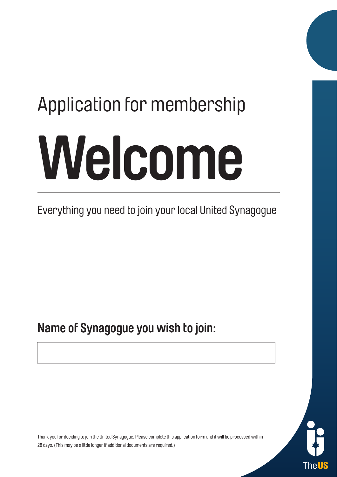# **Welcome** Application for membership

Everything you need to join your local United Synagogue

**Name of Synagogue you wish to join:**

Thel

Thank you for deciding to join the United Synagogue. Please complete this application form and it will be processed within 28 days. (This may be a little longer if additional documents are required.)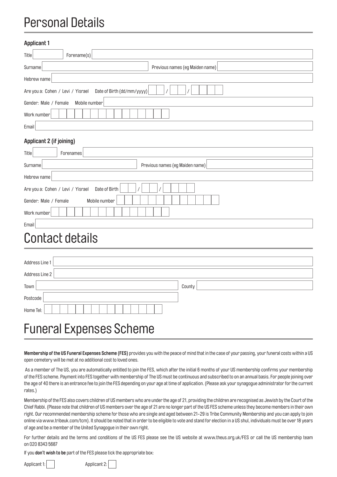#### Personal Details

| <b>Applicant 1</b>                                              |                                 |
|-----------------------------------------------------------------|---------------------------------|
| Title<br>Forename(s)                                            |                                 |
| Surname                                                         | Previous names (eg Maiden name) |
| Hebrew name                                                     |                                 |
| Date of Birth (dd/mm/yyyy)<br>Are you a: Cohen / Levi / Yisrael |                                 |
| Gender: Male / Female<br>Mobile number                          |                                 |
| Work number                                                     |                                 |
| Email                                                           |                                 |
| <b>Applicant 2 (if joining)</b>                                 |                                 |
| Title<br>Forenames                                              |                                 |
| Surname                                                         | Previous names (eg Maiden name) |
| Hebrew name                                                     |                                 |
| Date of Birth<br>Are you a: Cohen / Levi / Yisrael              |                                 |

## Contact details

Work number

Email

Gender: Male / Female Mobile number

| Address Line 1                 |        |
|--------------------------------|--------|
| Address Line 2                 |        |
| Town                           | County |
| Postcode                       |        |
| Home Tel:                      |        |
| <b>Funeral Expenses Scheme</b> |        |

**Membership of the US Funeral Expenses Scheme (FES)** provides you with the peace of mind that in the case of your passing, your funeral costs within a US open cemetery will be met at no additional cost to loved ones.

 As a member of The US, you are automatically entitled to join the FES, which after the initial 6 months of your US membership confirms your membership of the FES scheme. Payment into FES together with membership of The US must be continuous and subscribed to on an annual basis. For people joining over the age of 40 there is an entrance fee to join the FES depending on your age at time of application. (Please ask your synagogue administrator for the current rates.)

Membership of the FES also covers children of US members who are under the age of 21, providing the children are recognised as Jewish by the Court of the Chief Rabbi. (Please note that children of US members over the age of 21 are no longer part of the US FES scheme unless they become members in their own right. Our recommended membership scheme for those who are single and aged between 21-29 is Tribe Community Membership and you can apply to join online via www.tribeuk.com/tcm). It should be noted that in order to be eligible to vote and stand for election in a US shul, individuals must be over 18 years of age and be a member of the United Synagogue in their own right.

For further details and the terms and conditions of the US FES please see the US website at www.theus.org.uk/FES or call the US membership team on 020 8343 5687

If you **don't wish to be** part of the FES please tick the appropriate box:

Applicant 1: Applicant 2: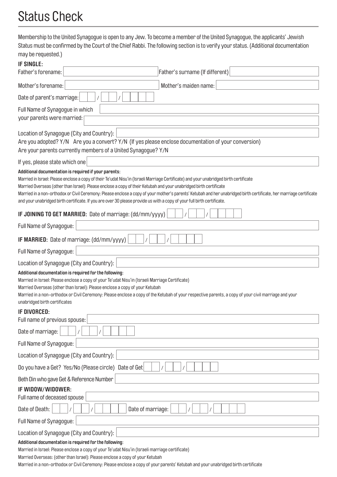## Status Check

Membership to the United Synagogue is open to any Jew. To become a member of the United Synagogue, the applicants' Jewish Status must be confirmed by the Court of the Chief Rabbi. The following section is to verify your status. (Additional documentation may be requested.)

| <b>IF SINGLE:</b>                                                                                                                                                                                                                                                                                                                                                                                                                  |
|------------------------------------------------------------------------------------------------------------------------------------------------------------------------------------------------------------------------------------------------------------------------------------------------------------------------------------------------------------------------------------------------------------------------------------|
| Father's surname (If different)<br>Father's forename:                                                                                                                                                                                                                                                                                                                                                                              |
| Mother's maiden name:<br>Mother's forename:                                                                                                                                                                                                                                                                                                                                                                                        |
| Date of parent's marriage:                                                                                                                                                                                                                                                                                                                                                                                                         |
| Full Name of Synagogue in which                                                                                                                                                                                                                                                                                                                                                                                                    |
| your parents were married:                                                                                                                                                                                                                                                                                                                                                                                                         |
| Location of Synagogue (City and Country):                                                                                                                                                                                                                                                                                                                                                                                          |
| Are you adopted? Y/N Are you a convert? Y/N (If yes please enclose documentation of your conversion)<br>Are your parents currently members of a United Synagogue? Y/N                                                                                                                                                                                                                                                              |
| If yes, please state which one                                                                                                                                                                                                                                                                                                                                                                                                     |
| Additional documentation is required if your parents:                                                                                                                                                                                                                                                                                                                                                                              |
| Married in Israel: Please enclose a copy of their Te'udat Nisu'in (Israeli Marriage Certificate) and your unabridged birth certificate                                                                                                                                                                                                                                                                                             |
| Married Overseas (other than Israel): Please enclose a copy of their Ketubah and your unabridged birth certificate<br>Married in a non-orthodox or Civil Ceremony: Please enclose a copy of your mother's parents' Ketubah and her unabridged birth certificate, her marriage certificate                                                                                                                                          |
| and your unabridged birth certificate. If you are over 30 please provide us with a copy of your full birth certificate.                                                                                                                                                                                                                                                                                                            |
| IF JOINING TO GET MARRIED: Date of marriage: (dd/mm/yyyy)                                                                                                                                                                                                                                                                                                                                                                          |
| Full Name of Synagogue:                                                                                                                                                                                                                                                                                                                                                                                                            |
| IF MARRIED: Date of marriage: (dd/mm/yyyy)                                                                                                                                                                                                                                                                                                                                                                                         |
| Full Name of Synagogue:                                                                                                                                                                                                                                                                                                                                                                                                            |
| Location of Synagogue (City and Country):                                                                                                                                                                                                                                                                                                                                                                                          |
| Additional documentation is required for the following:<br>Married in Israel: Please enclose a copy of your Te'udat Nisu'in (Israeli Marriage Certificate)<br>Married Overseas (other than Israel): Please enclose a copy of your Ketubah<br>Married in a non-orthodox or Civil Ceremony: Please enclose a copy of the Ketubah of your respective parents, a copy of your civil marriage and your<br>unabridged birth certificates |
| <b>IF DIVORCED:</b><br>Full name of previous spouse:                                                                                                                                                                                                                                                                                                                                                                               |
| Date of marriage:                                                                                                                                                                                                                                                                                                                                                                                                                  |
| Full Name of Synagogue:                                                                                                                                                                                                                                                                                                                                                                                                            |
| Location of Synagogue (City and Country):                                                                                                                                                                                                                                                                                                                                                                                          |
| Do you have a Get? Yes/No (Please circle) Date of Get                                                                                                                                                                                                                                                                                                                                                                              |
| Beth Din who gave Get & Reference Number                                                                                                                                                                                                                                                                                                                                                                                           |
| IF WIDOW/WIDOWER:                                                                                                                                                                                                                                                                                                                                                                                                                  |
| Full name of deceased spouse                                                                                                                                                                                                                                                                                                                                                                                                       |
| Date of Death:<br>Date of marriage:                                                                                                                                                                                                                                                                                                                                                                                                |
| Full Name of Synagogue:                                                                                                                                                                                                                                                                                                                                                                                                            |
| Location of Synagogue (City and Country):                                                                                                                                                                                                                                                                                                                                                                                          |
| Additional documentation is required for the following:<br>Married in Israel: Please enclose a copy of your Te'udat Nisu'in (Israeli marriage certificate)                                                                                                                                                                                                                                                                         |
| Married Overseas: (other than Israel): Please enclose a copy of your Ketubah                                                                                                                                                                                                                                                                                                                                                       |

Married in a non-orthodox or Civil Ceremony: Please enclose a copy of your parents' Ketubah and your unabridged birth certificate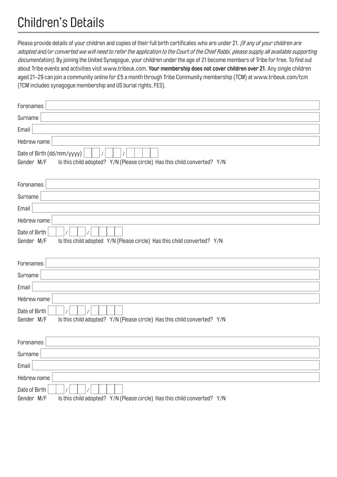## Children's Details

Please provide details of your children and copies of their full birth certificates who are under 21. (If any of your children are adopted and/or converted we will need to refer the application to the Court of the Chief Rabbi, please supply all available supporting documentation). By joining the United Synagogue, your children under the age of 21 become members of Tribe for free. To find out about Tribe events and activities visit www.tribeuk.com. **Your membership does not cover children over 21**. Any single children aged 21-29 can join a community online for £5 a month through Tribe Community membership (TCM) at www.tribeuk.com/tcm (TCM includes synagogue membership and US burial rights, FES).

| Forenames                                                                                                            |
|----------------------------------------------------------------------------------------------------------------------|
| Surname                                                                                                              |
| Email                                                                                                                |
| Hebrew name                                                                                                          |
| Date of Birth (dd/mm/yyyy)<br>Gender M/F<br>Is this child adopted? Y/N (Please circle) Has this child converted? Y/N |
|                                                                                                                      |
| Forenames                                                                                                            |
| Surname                                                                                                              |
| Email                                                                                                                |
| Hebrew name                                                                                                          |
| Date of Birth                                                                                                        |
| Is this child adopted Y/N (Please circle) Has this child converted? Y/N<br>Gender M/F                                |
|                                                                                                                      |
| Forenames                                                                                                            |
| Surname                                                                                                              |
| Email                                                                                                                |
| Hebrew name                                                                                                          |
| Date of Birth                                                                                                        |
| Gender M/F<br>Is this child adopted? Y/N (Please circle) Has this child converted? Y/N                               |
|                                                                                                                      |
| Forenames                                                                                                            |
| Surname                                                                                                              |
| Email                                                                                                                |
|                                                                                                                      |
| Hebrew name                                                                                                          |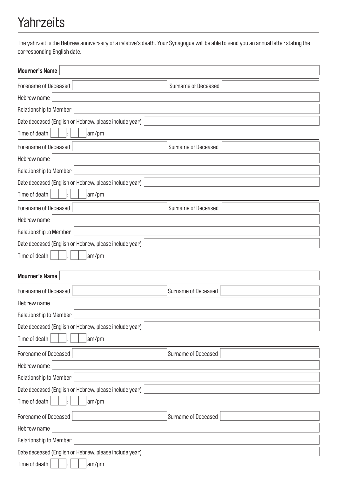## Yahrzeits

The yahrzeit is the Hebrew anniversary of a relative's death. Your Synagogue will be able to send you an annual letter stating the corresponding English date.

| <b>Mourner's Name</b>                                  |                     |  |  |  |
|--------------------------------------------------------|---------------------|--|--|--|
| Forename of Deceased                                   | Surname of Deceased |  |  |  |
| Hebrew name                                            |                     |  |  |  |
| Relationship to Member                                 |                     |  |  |  |
| Date deceased (English or Hebrew, please include year) |                     |  |  |  |
| Time of death<br>am/pm                                 |                     |  |  |  |
| Forename of Deceased                                   | Surname of Deceased |  |  |  |
| Hebrew name                                            |                     |  |  |  |
| Relationship to Member                                 |                     |  |  |  |
| Date deceased (English or Hebrew, please include year) |                     |  |  |  |
| Time of death<br>am/pm                                 |                     |  |  |  |
| Forename of Deceased                                   | Surname of Deceased |  |  |  |
| Hebrew name                                            |                     |  |  |  |
| Relationship to Member                                 |                     |  |  |  |
| Date deceased (English or Hebrew, please include year) |                     |  |  |  |
| Time of death<br>am/pm                                 |                     |  |  |  |
|                                                        |                     |  |  |  |
| <b>Mourner's Name</b>                                  |                     |  |  |  |
| Forename of Deceased                                   | Surname of Deceased |  |  |  |
| Hebrew name                                            |                     |  |  |  |
| Relationship to Member                                 |                     |  |  |  |
| Date deceased (English or Hebrew, please include year) |                     |  |  |  |
| Time of death<br>am/pm                                 |                     |  |  |  |
| Forename of Deceased                                   | Surname of Deceased |  |  |  |
| Hebrew name                                            |                     |  |  |  |
| Relationship to Member                                 |                     |  |  |  |
| Date deceased (English or Hebrew, please include year) |                     |  |  |  |
| Time of death<br>am/pm                                 |                     |  |  |  |
| Forename of Deceased                                   | Surname of Deceased |  |  |  |
| Hebrew name                                            |                     |  |  |  |
| Relationship to Member                                 |                     |  |  |  |
| Date deceased (English or Hebrew, please include year) |                     |  |  |  |
| Time of death<br>am/pm                                 |                     |  |  |  |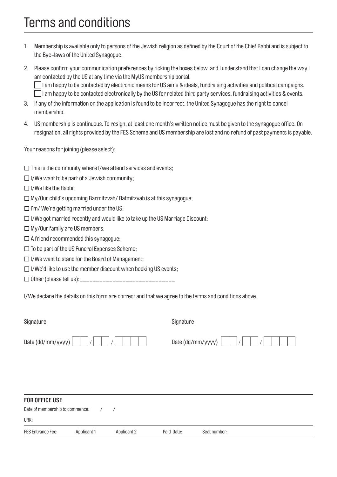## Terms and conditions

- 1. Membership is available only to persons of the Jewish religion as defined by the Court of the Chief Rabbi and is subject to the Bye-laws of the United Synagogue.
- 2. Please confirm your communication preferences by ticking the boxes below and I understand that I can change the way I am contacted by the US at any time via the MyUS membership portal.  $\Box$ I am happy to be contacted by electronic means for US aims & ideals, fundraising activities and political campaigns.  $\Box$ I am happy to be contacted electronically by the US for related third party services, fundraising activities & events.
- 3. If any of the information on the application is found to be incorrect, the United Synagogue has the right to cancel membership.
- 4. US membership is continuous. To resign, at least one month's written notice must be given to the synagogue office. On resignation, all rights provided by the FES Scheme and US membership are lost and no refund of past payments is payable.

Your reasons for joining (please select):

- $\square$  This is the community where I/we attend services and events;
- $\Box$  I/We want to be part of a Jewish community:
- $\Box$  I/We like the Rabbi;
- $\Box$  My/Our child's upcoming Barmitzvah/ Batmitzvah is at this synagogue;
- $\Box$  I'm/We're getting married under the US;
- $\Box$  I/We got married recently and would like to take up the US Marriage Discount;
- $\Box$  My/Our family are US members;
- $\Box$  A friend recommended this synagogue;
- $\square$  To be part of the US Funeral Expenses Scheme;
- $\Box$  I/We want to stand for the Board of Management;
- $\Box$  I/We'd like to use the member discount when booking US events;
- Other (please tell us):\_\_\_\_\_\_\_\_\_\_\_\_\_\_\_\_\_\_\_\_\_\_\_\_\_\_\_\_\_

I/We declare the details on this form are correct and that we agree to the terms and conditions above.

| Signature         | Signature         |
|-------------------|-------------------|
| Date (dd/mm/yyyy) | Date (dd/mm/yyyy) |

#### **FOR OFFICE USE**

| Date of membership to commence: |             |             |            |              |
|---------------------------------|-------------|-------------|------------|--------------|
| URK:                            |             |             |            |              |
| FES Entrance Fee:               | Applicant 1 | Applicant 2 | Paid Date: | Seat number: |